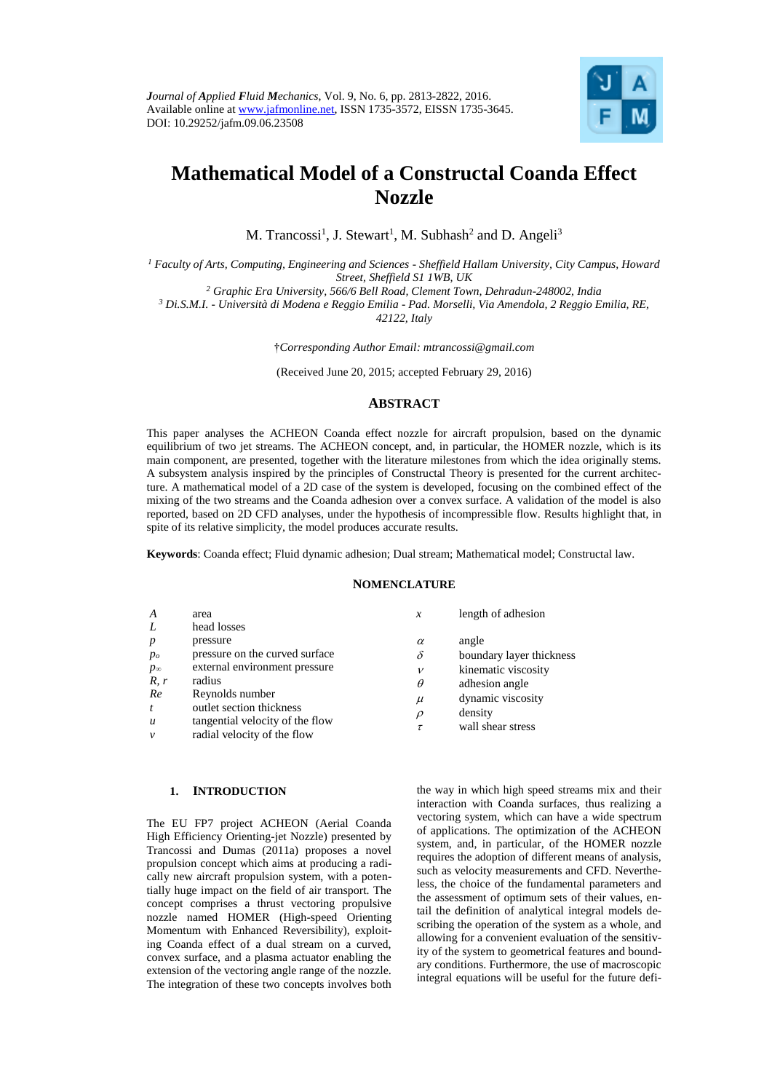

# **Mathematical Model of a Constructal Coanda Effect Nozzle**

M. Trancossi<sup>1</sup>, J. Stewart<sup>1</sup>, M. Subhash<sup>2</sup> and D. Angeli<sup>3</sup>

*<sup>1</sup> Faculty of Arts, Computing, Engineering and Sciences - Sheffield Hallam University, City Campus, Howard Street, Sheffield S1 1WB, UK*

*<sup>2</sup> Graphic Era University, 566/6 Bell Road, Clement Town, Dehradun-248002, India*

*<sup>3</sup> Di.S.M.I. - Università di Modena e Reggio Emilia - Pad. Morselli, Via Amendola, 2 Reggio Emilia, RE,* 

*42122, Italy*

†*Corresponding Author Email: mtrancossi@gmail.com*

(Received June 20, 2015; accepted February 29, 2016)

# **ABSTRACT**

This paper analyses the ACHEON Coanda effect nozzle for aircraft propulsion, based on the dynamic equilibrium of two jet streams. The ACHEON concept, and, in particular, the HOMER nozzle, which is its main component, are presented, together with the literature milestones from which the idea originally stems. A subsystem analysis inspired by the principles of Constructal Theory is presented for the current architecture. A mathematical model of a 2D case of the system is developed, focusing on the combined effect of the mixing of the two streams and the Coanda adhesion over a convex surface. A validation of the model is also reported, based on 2D CFD analyses, under the hypothesis of incompressible flow. Results highlight that, in spite of its relative simplicity, the model produces accurate results.

**Keywords**: Coanda effect; Fluid dynamic adhesion; Dual stream; Mathematical model; Constructal law.

## **NOMENCLATURE**

| A                | area<br>head losses             | x            | length of adhesion       |
|------------------|---------------------------------|--------------|--------------------------|
|                  |                                 |              |                          |
| p                | pressure                        | $\alpha$     | angle                    |
| $p_o$            | pressure on the curved surface  | $\delta$     | boundary layer thickness |
| $p_{\infty}$     | external environment pressure   | $\mathcal V$ | kinematic viscosity      |
| R, r             | radius                          | $\theta$     | adhesion angle           |
| Re               | Reynolds number                 | $\mu$        | dynamic viscosity        |
|                  | outlet section thickness        |              |                          |
| $\boldsymbol{u}$ | tangential velocity of the flow | $\rho$       | density                  |
|                  |                                 | τ            | wall shear stress        |
| $\mathcal V$     | radial velocity of the flow     |              |                          |

# **1. INTRODUCTION**

The EU FP7 project ACHEON (Aerial Coanda High Efficiency Orienting-jet Nozzle) presented by Trancossi and Dumas (2011a) proposes a novel propulsion concept which aims at producing a radically new aircraft propulsion system, with a potentially huge impact on the field of air transport. The concept comprises a thrust vectoring propulsive nozzle named HOMER (High-speed Orienting Momentum with Enhanced Reversibility), exploiting Coanda effect of a dual stream on a curved, convex surface, and a plasma actuator enabling the extension of the vectoring angle range of the nozzle. The integration of these two concepts involves both the way in which high speed streams mix and their interaction with Coanda surfaces, thus realizing a vectoring system, which can have a wide spectrum of applications. The optimization of the ACHEON system, and, in particular, of the HOMER nozzle requires the adoption of different means of analysis, such as velocity measurements and CFD. Nevertheless, the choice of the fundamental parameters and the assessment of optimum sets of their values, entail the definition of analytical integral models describing the operation of the system as a whole, and allowing for a convenient evaluation of the sensitivity of the system to geometrical features and boundary conditions. Furthermore, the use of macroscopic integral equations will be useful for the future defi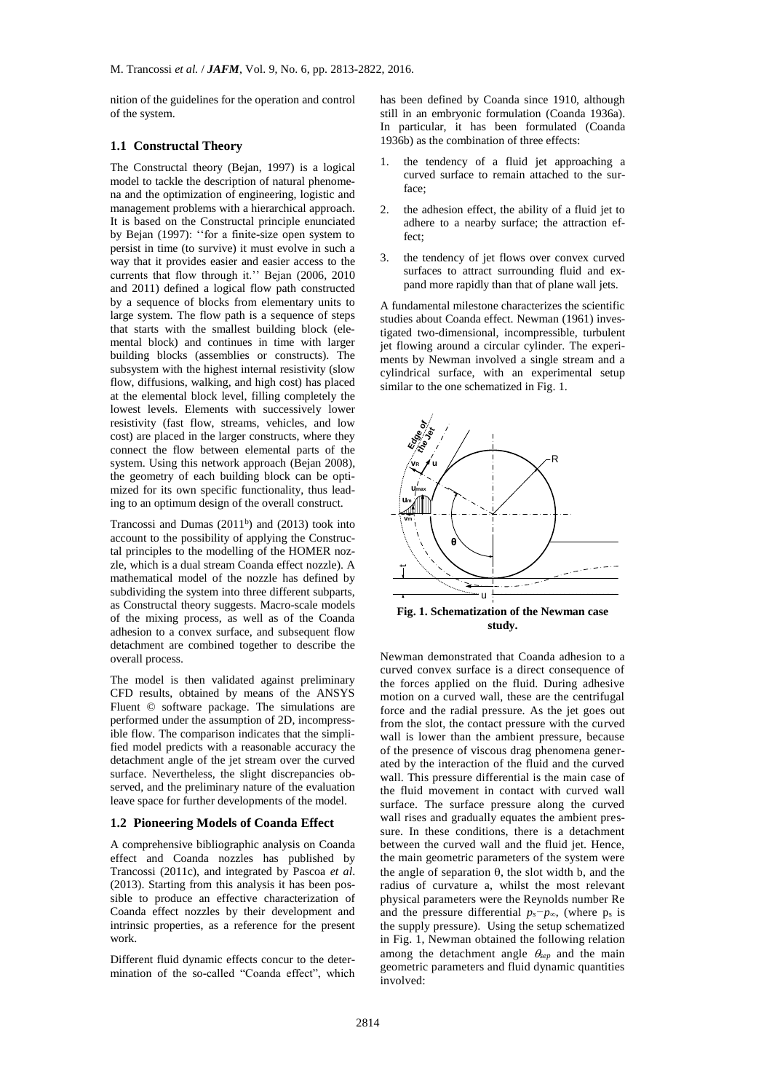nition of the guidelines for the operation and control of the system.

### **1.1 Constructal Theory**

The Constructal theory (Bejan, 1997) is a logical model to tackle the description of natural phenomena and the optimization of engineering, logistic and management problems with a hierarchical approach. It is based on the Constructal principle enunciated by Bejan (1997): ''for a finite-size open system to persist in time (to survive) it must evolve in such a way that it provides easier and easier access to the currents that flow through it.'' Bejan (2006, 2010 and 2011) defined a logical flow path constructed by a sequence of blocks from elementary units to large system. The flow path is a sequence of steps that starts with the smallest building block (elemental block) and continues in time with larger building blocks (assemblies or constructs). The subsystem with the highest internal resistivity (slow flow, diffusions, walking, and high cost) has placed at the elemental block level, filling completely the lowest levels. Elements with successively lower resistivity (fast flow, streams, vehicles, and low cost) are placed in the larger constructs, where they connect the flow between elemental parts of the system. Using this network approach (Bejan 2008), the geometry of each building block can be optimized for its own specific functionality, thus leading to an optimum design of the overall construct.

Trancossi and Dumas  $(2011<sup>b</sup>)$  and  $(2013)$  took into account to the possibility of applying the Constructal principles to the modelling of the HOMER nozzle, which is a dual stream Coanda effect nozzle). A mathematical model of the nozzle has defined by subdividing the system into three different subparts, as Constructal theory suggests. Macro-scale models of the mixing process, as well as of the Coanda adhesion to a convex surface, and subsequent flow detachment are combined together to describe the overall process.

The model is then validated against preliminary CFD results, obtained by means of the ANSYS Fluent © software package. The simulations are performed under the assumption of 2D, incompressible flow. The comparison indicates that the simplified model predicts with a reasonable accuracy the detachment angle of the jet stream over the curved surface. Nevertheless, the slight discrepancies observed, and the preliminary nature of the evaluation leave space for further developments of the model.

### **1.2 Pioneering Models of Coanda Effect**

A comprehensive bibliographic analysis on Coanda effect and Coanda nozzles has published by Trancossi (2011c), and integrated by Pascoa *et al*. (2013). Starting from this analysis it has been possible to produce an effective characterization of Coanda effect nozzles by their development and intrinsic properties, as a reference for the present work.

Different fluid dynamic effects concur to the determination of the so-called "Coanda effect", which has been defined by Coanda since 1910, although still in an embryonic formulation (Coanda 1936a). In particular, it has been formulated (Coanda 1936b) as the combination of three effects:

- 1. the tendency of a fluid jet approaching a curved surface to remain attached to the surface;
- 2. the adhesion effect, the ability of a fluid jet to adhere to a nearby surface; the attraction effect;
- 3. the tendency of jet flows over convex curved surfaces to attract surrounding fluid and expand more rapidly than that of plane wall jets.

A fundamental milestone characterizes the scientific studies about Coanda effect. Newman (1961) investigated two-dimensional, incompressible, turbulent jet flowing around a circular cylinder. The experiments by Newman involved a single stream and a cylindrical surface, with an experimental setup similar to the one schematized in Fig. 1.



**Fig. 1. Schematization of the Newman case study.**

Newman demonstrated that Coanda adhesion to a curved convex surface is a direct consequence of the forces applied on the fluid. During adhesive motion on a curved wall, these are the centrifugal force and the radial pressure. As the jet goes out from the slot, the contact pressure with the curved wall is lower than the ambient pressure, because of the presence of viscous drag phenomena generated by the interaction of the fluid and the curved wall. This pressure differential is the main case of the fluid movement in contact with curved wall surface. The surface pressure along the curved wall rises and gradually equates the ambient pressure. In these conditions, there is a detachment between the curved wall and the fluid jet. Hence, the main geometric parameters of the system were the angle of separation  $\theta$ , the slot width b, and the radius of curvature a, whilst the most relevant physical parameters were the Reynolds number Re and the pressure differential *ps−p∞*, (where p<sup>s</sup> is the supply pressure). Using the setup schematized in Fig. 1, Newman obtained the following relation among the detachment angle  $\theta_{sep}$  and the main geometric parameters and fluid dynamic quantities involved: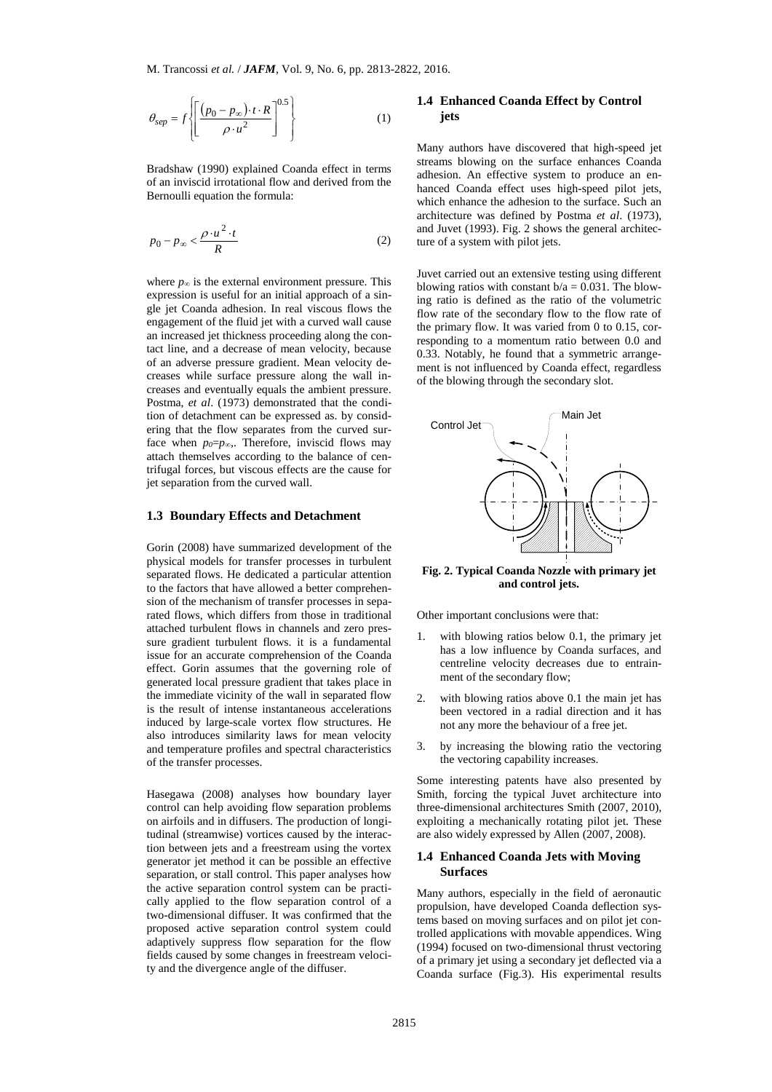$$
\theta_{sep} = f \left\{ \left[ \frac{(p_0 - p_{\infty}) \cdot t \cdot R}{\rho \cdot u^2} \right]^{0.5} \right\} \tag{1}
$$

Bradshaw (1990) explained Coanda effect in terms of an inviscid irrotational flow and derived from the Bernoulli equation the formula:

$$
p_0 - p_\infty < \frac{\rho \cdot u^2 \cdot t}{R} \tag{2}
$$

where  $p_{\infty}$  is the external environment pressure. This expression is useful for an initial approach of a single jet Coanda adhesion. In real viscous flows the engagement of the fluid jet with a curved wall cause an increased jet thickness proceeding along the contact line, and a decrease of mean velocity, because of an adverse pressure gradient. Mean velocity decreases while surface pressure along the wall increases and eventually equals the ambient pressure. Postma, *et al*. (1973) demonstrated that the condition of detachment can be expressed as. by considering that the flow separates from the curved surface when *p0*=*p∞*,. Therefore, inviscid flows may attach themselves according to the balance of centrifugal forces, but viscous effects are the cause for jet separation from the curved wall.

## **1.3 Boundary Effects and Detachment**

 $\left[\frac{p_0 - p_{\infty} + i \cdot R}{\rho \cdot u^2}\right]$  (1)<br>  $\rho \cdot u^2$  (1)<br>  $\rho \cdot u^2$  (1)<br>  $\rho \cdot u^2$  (1)<br>
(1)<br>
(1990) explained Coanda effect in terms<br>
(id invotaional flow and derived from the<br>
quation the formula:<br>  $\frac{\rho \cdot u^2 \cdot t}{R}$  (2)<br>
(2) Gorin (2008) have summarized development of the physical models for transfer processes in turbulent separated flows. He dedicated a particular attention to the factors that have allowed a better comprehension of the mechanism of transfer processes in separated flows, which differs from those in traditional attached turbulent flows in channels and zero pressure gradient turbulent flows. it is a fundamental issue for an accurate comprehension of the Coanda effect. Gorin assumes that the governing role of generated local pressure gradient that takes place in the immediate vicinity of the wall in separated flow is the result of intense instantaneous accelerations induced by large-scale vortex flow structures. He also introduces similarity laws for mean velocity and temperature profiles and spectral characteristics of the transfer processes.

Hasegawa (2008) analyses how boundary layer control can help avoiding flow separation problems on airfoils and in diffusers. The production of longitudinal (streamwise) vortices caused by the interaction between jets and a freestream using the vortex generator jet method it can be possible an effective separation, or stall control. This paper analyses how the active separation control system can be practically applied to the flow separation control of a two-dimensional diffuser. It was confirmed that the proposed active separation control system could adaptively suppress flow separation for the flow fields caused by some changes in freestream velocity and the divergence angle of the diffuser.

# **1.4 Enhanced Coanda Effect by Control jets**

Many authors have discovered that high-speed jet streams blowing on the surface enhances Coanda adhesion. An effective system to produce an enhanced Coanda effect uses high-speed pilot jets, which enhance the adhesion to the surface. Such an architecture was defined by Postma *et al*. (1973), and Juvet (1993). Fig. 2 shows the general architecture of a system with pilot jets.

Juvet carried out an extensive testing using different blowing ratios with constant  $b/a = 0.031$ . The blowing ratio is defined as the ratio of the volumetric flow rate of the secondary flow to the flow rate of the primary flow. It was varied from 0 to 0.15, corresponding to a momentum ratio between 0.0 and 0.33. Notably, he found that a symmetric arrangement is not influenced by Coanda effect, regardless of the blowing through the secondary slot.



**Fig. 2. Typical Coanda Nozzle with primary jet and control jets.**

Other important conclusions were that:

- with blowing ratios below  $0.1$ , the primary jet has a low influence by Coanda surfaces, and centreline velocity decreases due to entrainment of the secondary flow;
- with blowing ratios above 0.1 the main jet has been vectored in a radial direction and it has not any more the behaviour of a free jet.
- 3. by increasing the blowing ratio the vectoring the vectoring capability increases.

Some interesting patents have also presented by Smith, forcing the typical Juvet architecture into three-dimensional architectures Smith (2007, 2010), exploiting a mechanically rotating pilot jet. These are also widely expressed by Allen (2007, 2008).

# **1.4 Enhanced Coanda Jets with Moving Surfaces**

Many authors, especially in the field of aeronautic propulsion, have developed Coanda deflection systems based on moving surfaces and on pilot jet controlled applications with movable appendices. Wing (1994) focused on two-dimensional thrust vectoring of a primary jet using a secondary jet deflected via a Coanda surface (Fig.3). His experimental results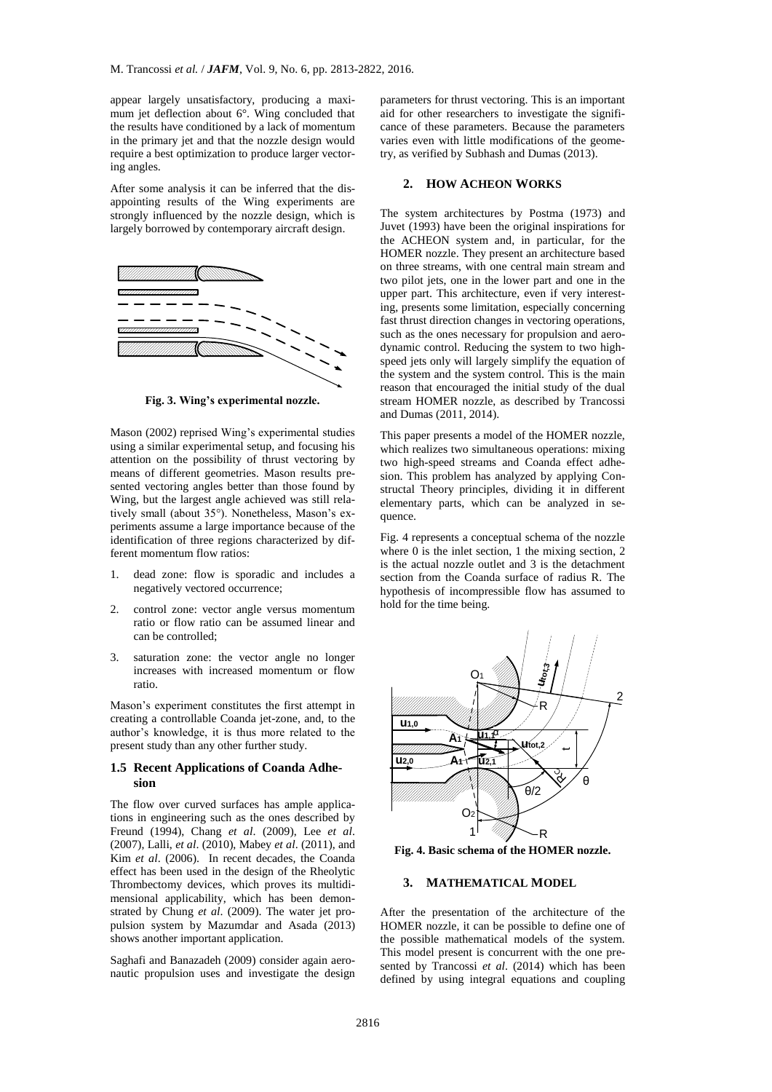appear largely unsatisfactory, producing a maximum jet deflection about 6°. Wing concluded that the results have conditioned by a lack of momentum in the primary jet and that the nozzle design would require a best optimization to produce larger vectoring angles.

After some analysis it can be inferred that the disappointing results of the Wing experiments are strongly influenced by the nozzle design, which is largely borrowed by contemporary aircraft design.



**Fig. 3. Wing's experimental nozzle.**

Mason (2002) reprised Wing's experimental studies using a similar experimental setup, and focusing his attention on the possibility of thrust vectoring by means of different geometries. Mason results presented vectoring angles better than those found by Wing, but the largest angle achieved was still relatively small (about 35°). Nonetheless, Mason's experiments assume a large importance because of the identification of three regions characterized by different momentum flow ratios:

- 1. dead zone: flow is sporadic and includes a negatively vectored occurrence;
- 2. control zone: vector angle versus momentum ratio or flow ratio can be assumed linear and can be controlled;
- 3. saturation zone: the vector angle no longer increases with increased momentum or flow ratio.

Mason's experiment constitutes the first attempt in creating a controllable Coanda jet-zone, and, to the author's knowledge, it is thus more related to the present study than any other further study.

### **1.5 Recent Applications of Coanda Adhesion**

The flow over curved surfaces has ample applications in engineering such as the ones described by Freund (1994), Chang *et al*. (2009), Lee *et al*. (2007), Lalli, *et al*. (2010), Mabey *et al*. (2011), and Kim *et al*. (2006). In recent decades, the Coanda effect has been used in the design of the Rheolytic Thrombectomy devices, which proves its multidimensional applicability, which has been demonstrated by Chung *et al*. (2009). The water jet propulsion system by Mazumdar and Asada (2013) shows another important application.

Saghafi and Banazadeh (2009) consider again aeronautic propulsion uses and investigate the design

parameters for thrust vectoring. This is an important aid for other researchers to investigate the significance of these parameters. Because the parameters varies even with little modifications of the geometry, as verified by Subhash and Dumas (2013).

# **2. HOW ACHEON WORKS**

The system architectures by Postma (1973) and Juvet (1993) have been the original inspirations for the ACHEON system and, in particular, for the HOMER nozzle. They present an architecture based on three streams, with one central main stream and two pilot jets, one in the lower part and one in the upper part. This architecture, even if very interesting, presents some limitation, especially concerning fast thrust direction changes in vectoring operations, such as the ones necessary for propulsion and aerodynamic control. Reducing the system to two highspeed jets only will largely simplify the equation of the system and the system control. This is the main reason that encouraged the initial study of the dual stream HOMER nozzle, as described by Trancossi and Dumas (2011, 2014).

This paper presents a model of the HOMER nozzle, which realizes two simultaneous operations: mixing two high-speed streams and Coanda effect adhesion. This problem has analyzed by applying Constructal Theory principles, dividing it in different elementary parts, which can be analyzed in sequence.

Fig. 4 represents a conceptual schema of the nozzle where 0 is the inlet section, 1 the mixing section, 2 is the actual nozzle outlet and 3 is the detachment section from the Coanda surface of radius R. The hypothesis of incompressible flow has assumed to hold for the time being.



**Fig. 4. Basic schema of the HOMER nozzle.**

# **3. MATHEMATICAL MODEL**

After the presentation of the architecture of the HOMER nozzle, it can be possible to define one of the possible mathematical models of the system. This model present is concurrent with the one presented by Trancossi *et al*. (2014) which has been defined by using integral equations and coupling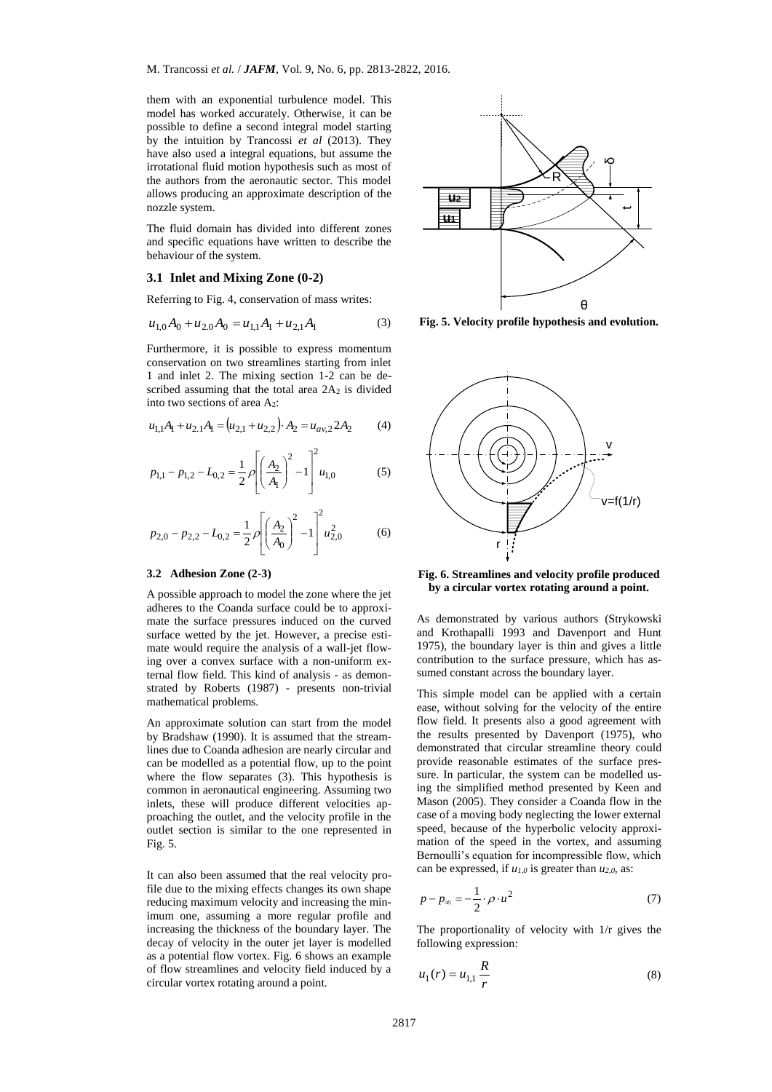them with an exponential turbulence model. This model has worked accurately. Otherwise, it can be possible to define a second integral model starting by the intuition by Trancossi *et al* (2013). They have also used a integral equations, but assume the irrotational fluid motion hypothesis such as most of the authors from the aeronautic sector. This model allows producing an approximate description of the nozzle system.

The fluid domain has divided into different zones and specific equations have written to describe the behaviour of the system.

## **3.1 Inlet and Mixing Zone (0-2)**

Referring to Fig. 4, conservation of mass writes:

$$
u_{1,0}A_0 + u_{2,0}A_0 = u_{1,1}A_1 + u_{2,1}A_1
$$
 (3)

Furthermore, it is possible to express momentum conservation on two streamlines starting from inlet 1 and inlet 2. The mixing section 1-2 can be described assuming that the total area 2A<sub>2</sub> is divided into two sections of area A2:

$$
u_{1,1}A_1 + u_{2,1}A_1 = (u_{2,1} + u_{2,2}) \cdot A_2 = u_{av,2} 2A_2 \tag{4}
$$

$$
p_{1,1} - p_{1,2} - L_{0,2} = \frac{1}{2} \rho \left[ \left( \frac{A_2}{A_1} \right)^2 - 1 \right]^2 u_{1,0} \tag{5}
$$

$$
p_{2,0} - p_{2,2} - L_{0,2} = \frac{1}{2} \rho \left[ \left( \frac{A_2}{A_0} \right)^2 - 1 \right]^2 u_{2,0}^2 \tag{6}
$$

#### **3.2 Adhesion Zone (2-3)**

A possible approach to model the zone where the jet adheres to the Coanda surface could be to approximate the surface pressures induced on the curved surface wetted by the jet. However, a precise estimate would require the analysis of a wall-jet flowing over a convex surface with a non-uniform external flow field. This kind of analysis - as demonstrated by Roberts (1987) - presents non-trivial mathematical problems.

An approximate solution can start from the model by Bradshaw (1990). It is assumed that the streamlines due to Coanda adhesion are nearly circular and can be modelled as a potential flow, up to the point where the flow separates (3). This hypothesis is common in aeronautical engineering. Assuming two inlets, these will produce different velocities approaching the outlet, and the velocity profile in the outlet section is similar to the one represented in Fig. 5.

It can also been assumed that the real velocity profile due to the mixing effects changes its own shape reducing maximum velocity and increasing the minimum one, assuming a more regular profile and increasing the thickness of the boundary layer. The decay of velocity in the outer jet layer is modelled as a potential flow vortex. Fig. 6 shows an example of flow streamlines and velocity field induced by a circular vortex rotating around a point.



**Fig. 5. Velocity profile hypothesis and evolution.**



## **Fig. 6. Streamlines and velocity profile produced by a circular vortex rotating around a point.**

As demonstrated by various authors (Strykowski and Krothapalli 1993 and Davenport and Hunt 1975), the boundary layer is thin and gives a little contribution to the surface pressure, which has assumed constant across the boundary layer.

This simple model can be applied with a certain ease, without solving for the velocity of the entire flow field. It presents also a good agreement with the results presented by Davenport (1975), who demonstrated that circular streamline theory could provide reasonable estimates of the surface pressure. In particular, the system can be modelled using the simplified method presented by Keen and Mason (2005). They consider a Coanda flow in the case of a moving body neglecting the lower external speed, because of the hyperbolic velocity approximation of the speed in the vortex, and assuming Bernoulli's equation for incompressible flow, which can be expressed, if *u1,0* is greater than *u2,0*, as:

$$
p - p_{\infty} = -\frac{1}{2} \cdot \rho \cdot u^2 \tag{7}
$$

The proportionality of velocity with 1/r gives the following expression:

$$
u_1(r) = u_{1,1} \frac{R}{r}
$$
 (8)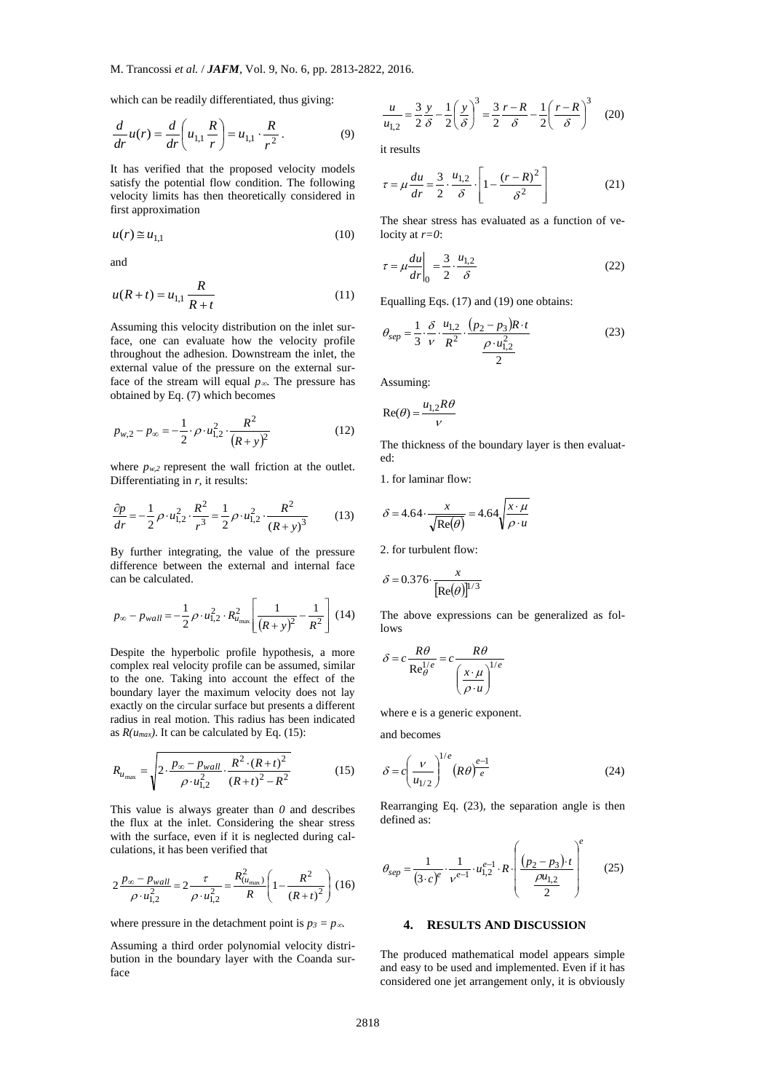which can be readily differentiated, thus giving:

$$
\frac{d}{dr}u(r) = \frac{d}{dr}\left(u_{1,1}\frac{R}{r}\right) = u_{1,1}\cdot\frac{R}{r^2}.
$$
 (9)

It has verified that the proposed velocity models satisfy the potential flow condition. The following velocity limits has then theoretically considered in first approximation

$$
u(r) \cong u_{1,1} \tag{10}
$$

and

$$
u(R+t) = u_{1,1} \frac{R}{R+t}
$$
 (11)

Assuming this velocity distribution on the inlet surface, one can evaluate how the velocity profile throughout the adhesion. Downstream the inlet, the external value of the pressure on the external surface of the stream will equal  $p_{\infty}$ . The pressure has obtained by Eq. (7) which becomes

$$
p_{w,2} - p_{\infty} = -\frac{1}{2} \cdot \rho \cdot u_{1,2}^2 \cdot \frac{R^2}{(R+y)^2}
$$
 (12)

where  $p_{w,2}$  represent the wall friction at the outlet. Differentiating in *r,* it results:

$$
\frac{\partial p}{\partial r} = -\frac{1}{2}\rho \cdot u_{1,2}^2 \cdot \frac{R^2}{r^3} = \frac{1}{2}\rho \cdot u_{1,2}^2 \cdot \frac{R^2}{(R+y)^3}
$$
(13)

By further integrating, the value of the pressure difference between the external and internal face can be calculated.

$$
p_{\infty} - p_{wall} = -\frac{1}{2}\rho \cdot u_{1,2}^2 \cdot R_{u_{\max}}^2 \left[ \frac{1}{(R+y)^2} - \frac{1}{R^2} \right] (14)
$$

Despite the hyperbolic profile hypothesis, a more complex real velocity profile can be assumed, similar to the one. Taking into account the effect of the boundary layer the maximum velocity does not lay exactly on the circular surface but presents a different radius in real motion. This radius has been indicated as  $R(u_{max})$ . It can be calculated by Eq. (15):

$$
R_{u_{\text{max}}} = \sqrt{2 \cdot \frac{p_{\infty} - p_{wall}}{\rho \cdot u_{1,2}^2} \cdot \frac{R^2 \cdot (R+t)^2}{(R+t)^2 - R^2}}
$$
(15)

This value is always greater than *0* and describes the flux at the inlet. Considering the shear stress with the surface, even if it is neglected during calculations, it has been verified that

$$
2\frac{p_{\infty} - p_{wall}}{\rho \cdot u_{1,2}^2} = 2\frac{\tau}{\rho \cdot u_{1,2}^2} = \frac{R_{(u_{\max})}^2}{R} \left(1 - \frac{R^2}{(R+t)^2}\right) (16)
$$

where pressure in the detachment point is  $p_3 = p_\infty$ .

Assuming a third order polynomial velocity distribution in the boundary layer with the Coanda surface

$$
\frac{u}{u_{1,2}} = \frac{3}{2} \frac{y}{\delta} - \frac{1}{2} \left( \frac{y}{\delta} \right)^3 = \frac{3}{2} \frac{r - R}{\delta} - \frac{1}{2} \left( \frac{r - R}{\delta} \right)^3 \tag{20}
$$

it results

$$
\tau = \mu \frac{du}{dr} = \frac{3}{2} \cdot \frac{u_{1,2}}{\delta} \cdot \left[ 1 - \frac{(r - R)^2}{\delta^2} \right]
$$
 (21)

The shear stress has evaluated as a function of velocity at *r=0*:

$$
\tau = \mu \frac{du}{dr}\bigg|_0 = \frac{3}{2} \cdot \frac{u_{1,2}}{\delta} \tag{22}
$$

Equalling Eqs. (17) and (19) one obtains:

$$
\theta_{sep} = \frac{1}{3} \cdot \frac{\delta}{\nu} \cdot \frac{u_{1,2}}{R^2} \cdot \frac{(p_2 - p_3)R \cdot t}{\frac{\rho \cdot u_{1,2}^2}{2}}
$$
(23)

Assuming:

$$
Re(\theta) = \frac{u_{1,2}R\theta}{v}
$$

The thickness of the boundary layer is then evaluated:

1. for laminar flow:

$$
\delta = 4.64 \cdot \frac{x}{\sqrt{\text{Re}(\theta)}} = 4.64 \sqrt{\frac{x \cdot \mu}{\rho \cdot u}}
$$

2. for turbulent flow:

$$
\delta = 0.376 \cdot \frac{x}{[\text{Re}(\theta)]^{1/3}}
$$

The above expressions can be generalized as follows

$$
\delta = c \frac{R\theta}{\text{Re}_{\theta}^{1/e}} = c \frac{R\theta}{\left(\frac{x \cdot \mu}{\rho \cdot u}\right)^{1/e}}
$$

where e is a generic exponent.

and becomes

$$
\delta = c \left(\frac{v}{u_{1/2}}\right)^{1/e} \left(R\theta\right)^{e-1} \tag{24}
$$

Rearranging Eq. (23), the separation angle is then defined as:

$$
\theta_{sep} = \frac{1}{(3 \cdot c)^e} \cdot \frac{1}{v^{e-1}} \cdot u_{1,2}^{e-1} \cdot R \cdot \left( \frac{(p_2 - p_3) \cdot t}{\frac{\rho u_{1,2}}{2}} \right)^e \tag{25}
$$

## **4. RESULTS AND DISCUSSION**

The produced mathematical model appears simple and easy to be used and implemented. Even if it has considered one jet arrangement only, it is obviously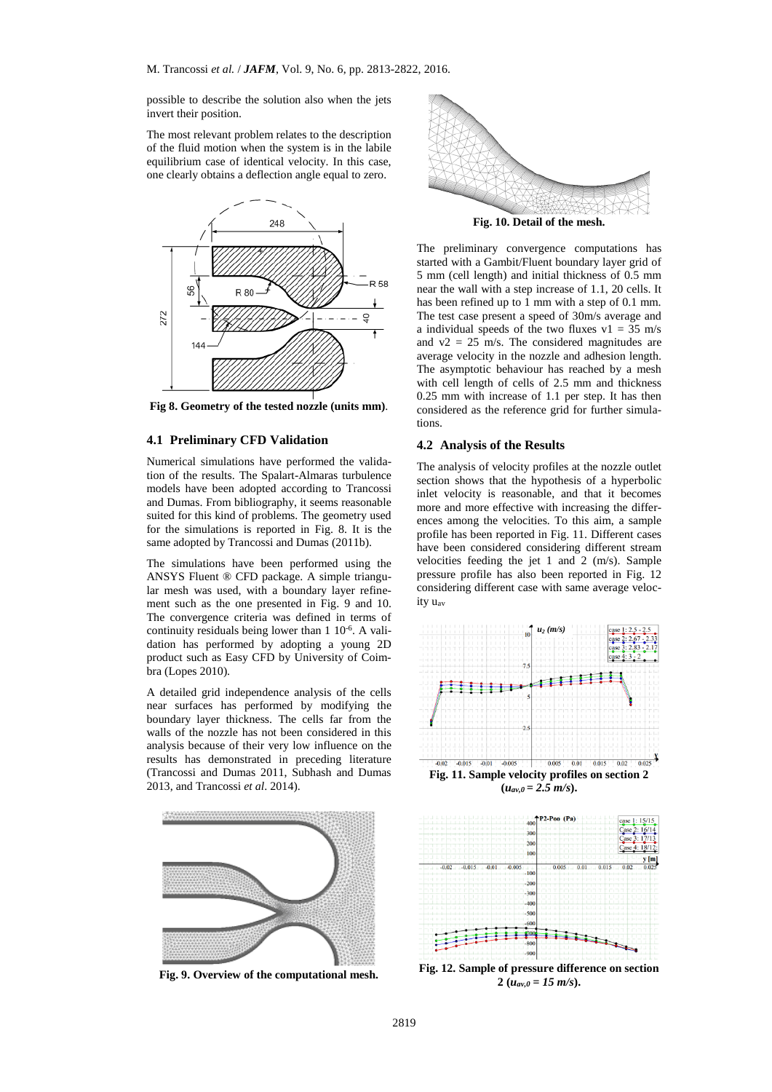possible to describe the solution also when the jets invert their position.

The most relevant problem relates to the description of the fluid motion when the system is in the labile equilibrium case of identical velocity. In this case, one clearly obtains a deflection angle equal to zero.



**Fig 8. Geometry of the tested nozzle (units mm)**.

# **4.1 Preliminary CFD Validation**

Numerical simulations have performed the validation of the results. The Spalart-Almaras turbulence models have been adopted according to Trancossi and Dumas. From bibliography, it seems reasonable suited for this kind of problems. The geometry used for the simulations is reported in Fig. 8. It is the same adopted by Trancossi and Dumas (2011b).

The simulations have been performed using the ANSYS Fluent ® CFD package. A simple triangular mesh was used, with a boundary layer refinement such as the one presented in Fig. 9 and 10. The convergence criteria was defined in terms of continuity residuals being lower than  $1 \ 10^{-6}$ . A validation has performed by adopting a young 2D product such as Easy CFD by University of Coimbra (Lopes 2010).

A detailed grid independence analysis of the cells near surfaces has performed by modifying the boundary layer thickness. The cells far from the walls of the nozzle has not been considered in this analysis because of their very low influence on the results has demonstrated in preceding literature (Trancossi and Dumas 2011, Subhash and Dumas 2013, and Trancossi *et al*. 2014).



**Fig. 9. Overview of the computational mesh.**



**Fig. 10. Detail of the mesh.**

The preliminary convergence computations has started with a Gambit/Fluent boundary layer grid of 5 mm (cell length) and initial thickness of 0.5 mm near the wall with a step increase of 1.1, 20 cells. It has been refined up to 1 mm with a step of 0.1 mm. The test case present a speed of 30m/s average and a individual speeds of the two fluxes  $v1 = 35$  m/s and  $v2 = 25$  m/s. The considered magnitudes are average velocity in the nozzle and adhesion length. The asymptotic behaviour has reached by a mesh with cell length of cells of 2.5 mm and thickness 0.25 mm with increase of 1.1 per step. It has then considered as the reference grid for further simulations.

# **4.2 Analysis of the Results**

The analysis of velocity profiles at the nozzle outlet section shows that the hypothesis of a hyperbolic inlet velocity is reasonable, and that it becomes more and more effective with increasing the differences among the velocities. To this aim, a sample profile has been reported in Fig. 11. Different cases have been considered considering different stream velocities feeding the jet 1 and 2 (m/s). Sample pressure profile has also been reported in Fig. 12 considering different case with same average velocity uav



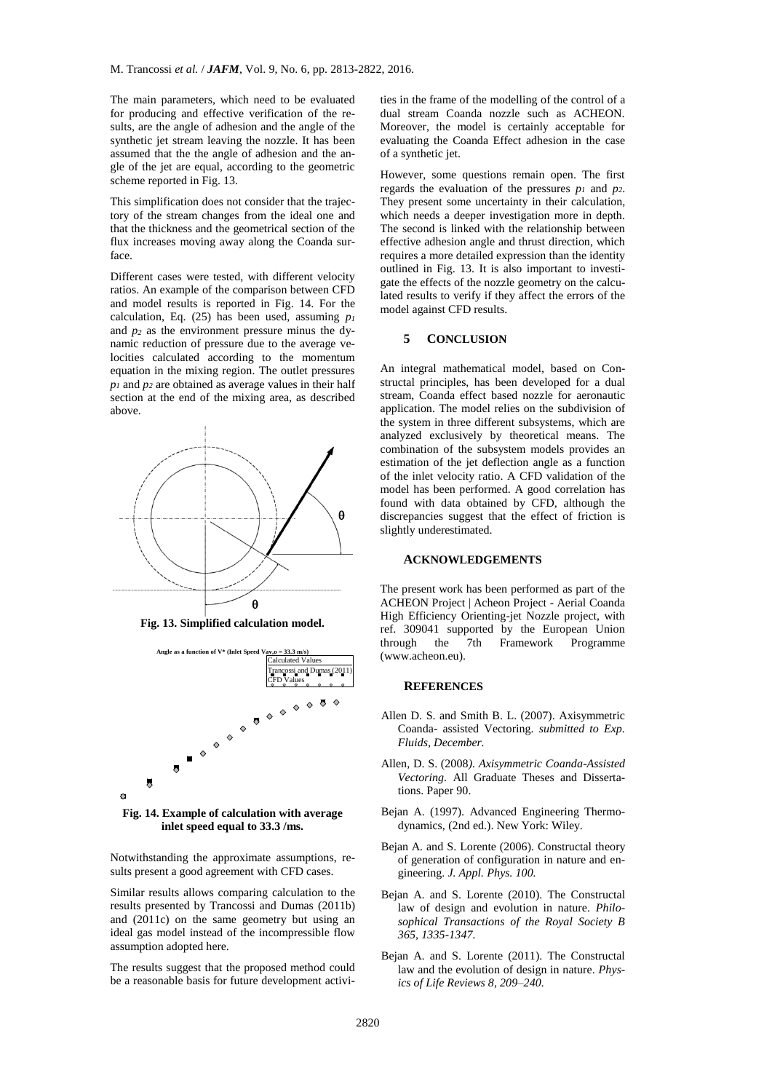The main parameters, which need to be evaluated for producing and effective verification of the results, are the angle of adhesion and the angle of the synthetic jet stream leaving the nozzle. It has been assumed that the the angle of adhesion and the angle of the jet are equal, according to the geometric scheme reported in Fig. 13.

This simplification does not consider that the trajectory of the stream changes from the ideal one and that the thickness and the geometrical section of the flux increases moving away along the Coanda surface.

Different cases were tested, with different velocity ratios. An example of the comparison between CFD and model results is reported in Fig. 14. For the calculation, Eq. (25) has been used, assuming *p<sup>1</sup>* and *p<sup>2</sup>* as the environment pressure minus the dynamic reduction of pressure due to the average velocities calculated according to the momentum equation in the mixing region. The outlet pressures *p<sup>1</sup>* and *p<sup>2</sup>* are obtained as average values in their half section at the end of the mixing area, as described above.



**Fig. 13. Simplified calculation model.**



**Fig. 14. Example of calculation with average inlet speed equal to 33.3 /ms.**

Notwithstanding the approximate assumptions, results present a good agreement with CFD cases.

Similar results allows comparing calculation to the results presented by Trancossi and Dumas (2011b) and (2011c) on the same geometry but using an ideal gas model instead of the incompressible flow assumption adopted here.

The results suggest that the proposed method could be a reasonable basis for future development activi-

ties in the frame of the modelling of the control of a dual stream Coanda nozzle such as ACHEON. Moreover, the model is certainly acceptable for evaluating the Coanda Effect adhesion in the case of a synthetic jet.

However, some questions remain open. The first regards the evaluation of the pressures *p<sup>1</sup>* and *p2*. They present some uncertainty in their calculation, which needs a deeper investigation more in depth. The second is linked with the relationship between effective adhesion angle and thrust direction, which requires a more detailed expression than the identity outlined in Fig. 13. It is also important to investigate the effects of the nozzle geometry on the calculated results to verify if they affect the errors of the model against CFD results.

#### **5 CONCLUSION**

An integral mathematical model, based on Constructal principles, has been developed for a dual stream, Coanda effect based nozzle for aeronautic application. The model relies on the subdivision of the system in three different subsystems, which are analyzed exclusively by theoretical means. The combination of the subsystem models provides an estimation of the jet deflection angle as a function of the inlet velocity ratio. A CFD validation of the model has been performed. A good correlation has found with data obtained by CFD, although the discrepancies suggest that the effect of friction is slightly underestimated.

#### **ACKNOWLEDGEMENTS**

The present work has been performed as part of the ACHEON Project | Acheon Project - Aerial Coanda High Efficiency Orienting-jet Nozzle project, with ref. 309041 supported by the European Union through the 7th Framework Programme (www.acheon.eu).

## **REFERENCES**

- Allen D. S. and Smith B. L. (2007). Axisymmetric Coanda- assisted Vectoring. *submitted to Exp. Fluids, December.*
- Allen, D. S. (2008*). Axisymmetric Coanda-Assisted Vectoring.* All Graduate Theses and Dissertations. Paper 90.
- Bejan A. (1997). Advanced Engineering Thermodynamics, (2nd ed.). New York: Wiley.
- Bejan A. and S. Lorente (2006). Constructal theory of generation of configuration in nature and engineering. *J. Appl. Phys. 100.*
- Bejan A. and S. Lorente (2010). The Constructal law of design and evolution in nature. *Philosophical Transactions of the Royal Society B 365, 1335-1347.*
- Bejan A. and S. Lorente (2011). The Constructal law and the evolution of design in nature. *Physics of Life Reviews 8, 209–240.*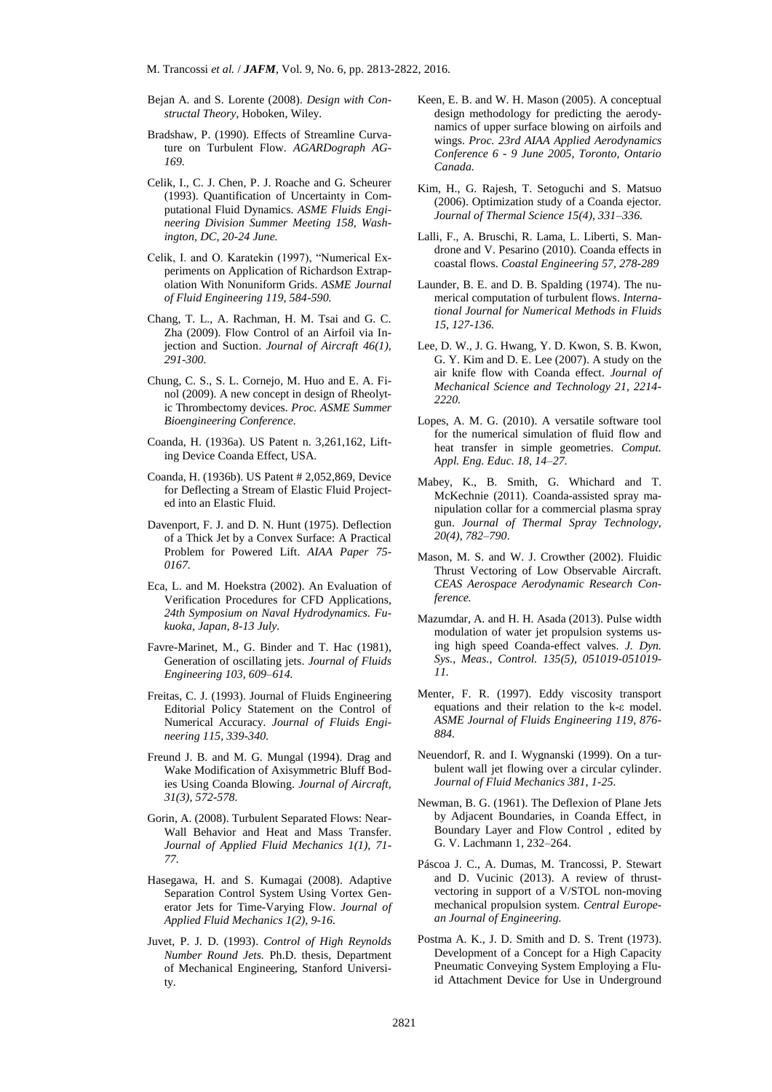- Bejan A. and S. Lorente (2008). *Design with Constructal Theory*, Hoboken, Wiley.
- Bradshaw, P. (1990). Effects of Streamline Curvature on Turbulent Flow. *AGARDograph AG-169.*
- Celik, I., C. J. Chen, P. J. Roache and G. Scheurer (1993). Quantification of Uncertainty in Computational Fluid Dynamics. *ASME Fluids Engineering Division Summer Meeting 158, Washington, DC, 20-24 June.*
- Celik, I. and O. Karatekin (1997), "Numerical Experiments on Application of Richardson Extrapolation With Nonuniform Grids. *ASME Journal of Fluid Engineering 119, 584-590.*
- Chang, T. L., A. Rachman, H. M. Tsai and G. C. Zha (2009). Flow Control of an Airfoil via Injection and Suction. *Journal of Aircraft 46(1), 291-300.*
- Chung, C. S., S. L. Cornejo, M. Huo and E. A. Finol (2009). A new concept in design of Rheolytic Thrombectomy devices. *Proc. ASME Summer Bioengineering Conference.*
- Coanda, H. (1936a). US Patent n. 3,261,162, Lifting Device Coanda Effect, USA.
- Coanda, H. (1936b). US Patent # 2,052,869, Device for Deflecting a Stream of Elastic Fluid Projected into an Elastic Fluid.
- Davenport, F. J. and D. N. Hunt (1975). Deflection of a Thick Jet by a Convex Surface: A Practical Problem for Powered Lift. *AIAA Paper 75- 0167.*
- Eca, L. and M. Hoekstra (2002). An Evaluation of Verification Procedures for CFD Applications, *24th Symposium on Naval Hydrodynamics. Fukuoka, Japan, 8-13 July.*
- Favre-Marinet, M., G. Binder and T. Hac (1981), Generation of oscillating jets. *Journal of Fluids Engineering 103, 609–614.*
- Freitas, C. J. (1993). Journal of Fluids Engineering Editorial Policy Statement on the Control of Numerical Accuracy*. Journal of Fluids Engineering 115, 339-340.*
- Freund J. B. and M. G. Mungal (1994). Drag and Wake Modification of Axisymmetric Bluff Bodies Using Coanda Blowing. *Journal of Aircraft, 31(3), 572-578.*
- Gorin, A. (2008). Turbulent Separated Flows: Near-Wall Behavior and Heat and Mass Transfer. *Journal of Applied Fluid Mechanics 1(1), 71- 77.*
- Hasegawa, H. and S. Kumagai (2008). Adaptive Separation Control System Using Vortex Generator Jets for Time-Varying Flow. *Journal of Applied Fluid Mechanics 1(2), 9-16.*
- Juvet, P. J. D. (1993). *Control of High Reynolds Number Round Jets.* Ph.D. thesis, Department of Mechanical Engineering, Stanford University.
- Keen, E. B. and W. H. Mason (2005). A conceptual design methodology for predicting the aerodynamics of upper surface blowing on airfoils and wings. *Proc. 23rd AIAA Applied Aerodynamics Conference 6 - 9 June 2005, Toronto, Ontario Canada.*
- Kim, H., G. Rajesh, T. Setoguchi and S. Matsuo (2006). Optimization study of a Coanda ejector*. Journal of Thermal Science 15(4), 331–336.*
- Lalli, F., A. Bruschi, R. Lama, L. Liberti, S. Mandrone and V. Pesarino (2010). Coanda effects in coastal flows. *Coastal Engineering 57, 278-289*
- Launder, B. E. and D. B. Spalding (1974). The numerical computation of turbulent flows. *International Journal for Numerical Methods in Fluids 15, 127-136.*
- Lee, D. W., J. G. Hwang, Y. D. Kwon, S. B. Kwon, G. Y. Kim and D. E. Lee (2007). A study on the air knife flow with Coanda effect. *Journal of Mechanical Science and Technology 21, 2214- 2220.*
- Lopes, A. M. G. (2010). A versatile software tool for the numerical simulation of fluid flow and heat transfer in simple geometries. *Comput. Appl. Eng. Educ. 18, 14–27.*
- Mabey, K., B. Smith, G. Whichard and T. McKechnie (2011). Coanda-assisted spray manipulation collar for a commercial plasma spray gun. *Journal of Thermal Spray Technology, 20(4), 782–790*.
- Mason, M. S. and W. J. Crowther (2002). Fluidic Thrust Vectoring of Low Observable Aircraft*. CEAS Aerospace Aerodynamic Research Conference.*
- Mazumdar, A. and H. H. Asada (2013). Pulse width modulation of water jet propulsion systems using high speed Coanda-effect valves. *J. Dyn. Sys., Meas., Control. 135(5), 051019-051019- 11.*
- Menter, F. R. (1997). Eddy viscosity transport equations and their relation to the k-ε model. *ASME Journal of Fluids Engineering 119, 876- 884.*
- Neuendorf, R. and I. Wygnanski (1999). On a turbulent wall jet flowing over a circular cylinder. *Journal of Fluid Mechanics 381, 1-25.*
- Newman, B. G. (1961). The Deflexion of Plane Jets by Adjacent Boundaries, in Coanda Effect, in Boundary Layer and Flow Control , edited by G. V. Lachmann 1, 232–264.
- Páscoa J. C., A. Dumas, M. Trancossi, P. Stewart and D. Vucinic (2013). A review of thrustvectoring in support of a V/STOL non-moving mechanical propulsion system. *Central European Journal of Engineering.*
- Postma A. K., J. D. Smith and D. S. Trent (1973). Development of a Concept for a High Capacity Pneumatic Conveying System Employing a Fluid Attachment Device for Use in Underground